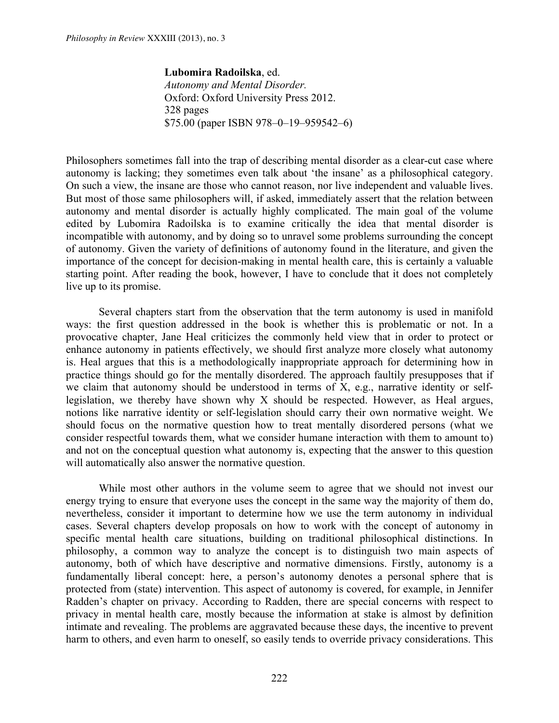**Lubomira Radoilska**, ed. *Autonomy and Mental Disorder.* Oxford: Oxford University Press 2012. 328 pages \$75.00 (paper ISBN 978–0–19–959542–6)

Philosophers sometimes fall into the trap of describing mental disorder as a clear-cut case where autonomy is lacking; they sometimes even talk about 'the insane' as a philosophical category. On such a view, the insane are those who cannot reason, nor live independent and valuable lives. But most of those same philosophers will, if asked, immediately assert that the relation between autonomy and mental disorder is actually highly complicated. The main goal of the volume edited by Lubomira Radoilska is to examine critically the idea that mental disorder is incompatible with autonomy, and by doing so to unravel some problems surrounding the concept of autonomy. Given the variety of definitions of autonomy found in the literature, and given the importance of the concept for decision-making in mental health care, this is certainly a valuable starting point. After reading the book, however, I have to conclude that it does not completely live up to its promise.

Several chapters start from the observation that the term autonomy is used in manifold ways: the first question addressed in the book is whether this is problematic or not. In a provocative chapter, Jane Heal criticizes the commonly held view that in order to protect or enhance autonomy in patients effectively, we should first analyze more closely what autonomy is. Heal argues that this is a methodologically inappropriate approach for determining how in practice things should go for the mentally disordered. The approach faultily presupposes that if we claim that autonomy should be understood in terms of X, e.g., narrative identity or selflegislation, we thereby have shown why X should be respected. However, as Heal argues, notions like narrative identity or self-legislation should carry their own normative weight. We should focus on the normative question how to treat mentally disordered persons (what we consider respectful towards them, what we consider humane interaction with them to amount to) and not on the conceptual question what autonomy is, expecting that the answer to this question will automatically also answer the normative question.

While most other authors in the volume seem to agree that we should not invest our energy trying to ensure that everyone uses the concept in the same way the majority of them do, nevertheless, consider it important to determine how we use the term autonomy in individual cases. Several chapters develop proposals on how to work with the concept of autonomy in specific mental health care situations, building on traditional philosophical distinctions. In philosophy, a common way to analyze the concept is to distinguish two main aspects of autonomy, both of which have descriptive and normative dimensions. Firstly, autonomy is a fundamentally liberal concept: here, a person's autonomy denotes a personal sphere that is protected from (state) intervention. This aspect of autonomy is covered, for example, in Jennifer Radden's chapter on privacy. According to Radden, there are special concerns with respect to privacy in mental health care, mostly because the information at stake is almost by definition intimate and revealing. The problems are aggravated because these days, the incentive to prevent harm to others, and even harm to oneself, so easily tends to override privacy considerations. This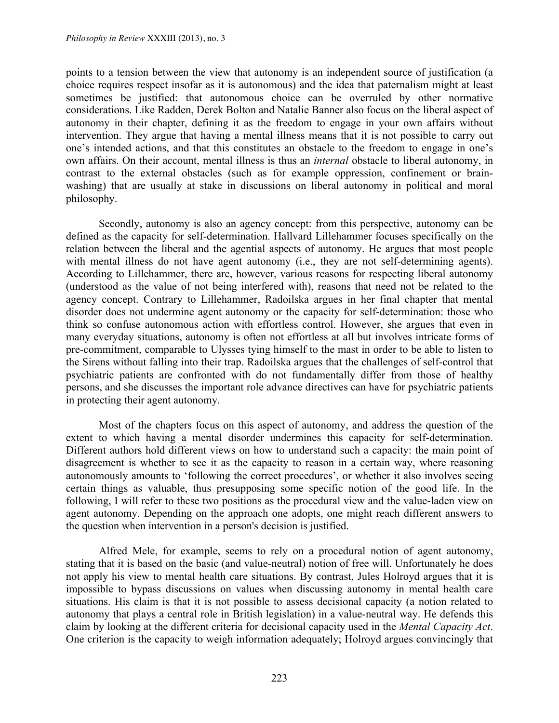points to a tension between the view that autonomy is an independent source of justification (a choice requires respect insofar as it is autonomous) and the idea that paternalism might at least sometimes be justified: that autonomous choice can be overruled by other normative considerations. Like Radden, Derek Bolton and Natalie Banner also focus on the liberal aspect of autonomy in their chapter, defining it as the freedom to engage in your own affairs without intervention. They argue that having a mental illness means that it is not possible to carry out one's intended actions, and that this constitutes an obstacle to the freedom to engage in one's own affairs. On their account, mental illness is thus an *internal* obstacle to liberal autonomy, in contrast to the external obstacles (such as for example oppression, confinement or brainwashing) that are usually at stake in discussions on liberal autonomy in political and moral philosophy.

Secondly, autonomy is also an agency concept: from this perspective, autonomy can be defined as the capacity for self-determination. Hallvard Lillehammer focuses specifically on the relation between the liberal and the agential aspects of autonomy. He argues that most people with mental illness do not have agent autonomy (i.e., they are not self-determining agents). According to Lillehammer, there are, however, various reasons for respecting liberal autonomy (understood as the value of not being interfered with), reasons that need not be related to the agency concept. Contrary to Lillehammer, Radoilska argues in her final chapter that mental disorder does not undermine agent autonomy or the capacity for self-determination: those who think so confuse autonomous action with effortless control. However, she argues that even in many everyday situations, autonomy is often not effortless at all but involves intricate forms of pre-commitment, comparable to Ulysses tying himself to the mast in order to be able to listen to the Sirens without falling into their trap. Radoilska argues that the challenges of self-control that psychiatric patients are confronted with do not fundamentally differ from those of healthy persons, and she discusses the important role advance directives can have for psychiatric patients in protecting their agent autonomy.

Most of the chapters focus on this aspect of autonomy, and address the question of the extent to which having a mental disorder undermines this capacity for self-determination. Different authors hold different views on how to understand such a capacity: the main point of disagreement is whether to see it as the capacity to reason in a certain way, where reasoning autonomously amounts to 'following the correct procedures', or whether it also involves seeing certain things as valuable, thus presupposing some specific notion of the good life. In the following, I will refer to these two positions as the procedural view and the value-laden view on agent autonomy. Depending on the approach one adopts, one might reach different answers to the question when intervention in a person's decision is justified.

Alfred Mele, for example, seems to rely on a procedural notion of agent autonomy, stating that it is based on the basic (and value-neutral) notion of free will. Unfortunately he does not apply his view to mental health care situations. By contrast, Jules Holroyd argues that it is impossible to bypass discussions on values when discussing autonomy in mental health care situations. His claim is that it is not possible to assess decisional capacity (a notion related to autonomy that plays a central role in British legislation) in a value-neutral way. He defends this claim by looking at the different criteria for decisional capacity used in the *Mental Capacity Act*. One criterion is the capacity to weigh information adequately; Holroyd argues convincingly that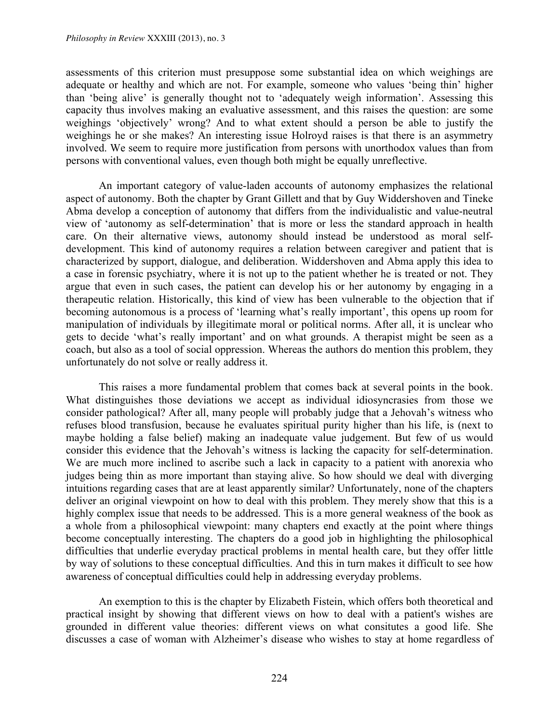assessments of this criterion must presuppose some substantial idea on which weighings are adequate or healthy and which are not. For example, someone who values 'being thin' higher than 'being alive' is generally thought not to 'adequately weigh information'. Assessing this capacity thus involves making an evaluative assessment, and this raises the question: are some weighings 'objectively' wrong? And to what extent should a person be able to justify the weighings he or she makes? An interesting issue Holroyd raises is that there is an asymmetry involved. We seem to require more justification from persons with unorthodox values than from persons with conventional values, even though both might be equally unreflective.

An important category of value-laden accounts of autonomy emphasizes the relational aspect of autonomy. Both the chapter by Grant Gillett and that by Guy Widdershoven and Tineke Abma develop a conception of autonomy that differs from the individualistic and value-neutral view of 'autonomy as self-determination' that is more or less the standard approach in health care. On their alternative views, autonomy should instead be understood as moral selfdevelopment. This kind of autonomy requires a relation between caregiver and patient that is characterized by support, dialogue, and deliberation. Widdershoven and Abma apply this idea to a case in forensic psychiatry, where it is not up to the patient whether he is treated or not. They argue that even in such cases, the patient can develop his or her autonomy by engaging in a therapeutic relation. Historically, this kind of view has been vulnerable to the objection that if becoming autonomous is a process of 'learning what's really important', this opens up room for manipulation of individuals by illegitimate moral or political norms. After all, it is unclear who gets to decide 'what's really important' and on what grounds. A therapist might be seen as a coach, but also as a tool of social oppression. Whereas the authors do mention this problem, they unfortunately do not solve or really address it.

This raises a more fundamental problem that comes back at several points in the book. What distinguishes those deviations we accept as individual idiosyncrasies from those we consider pathological? After all, many people will probably judge that a Jehovah's witness who refuses blood transfusion, because he evaluates spiritual purity higher than his life, is (next to maybe holding a false belief) making an inadequate value judgement. But few of us would consider this evidence that the Jehovah's witness is lacking the capacity for self-determination. We are much more inclined to ascribe such a lack in capacity to a patient with anorexia who judges being thin as more important than staying alive. So how should we deal with diverging intuitions regarding cases that are at least apparently similar? Unfortunately, none of the chapters deliver an original viewpoint on how to deal with this problem. They merely show that this is a highly complex issue that needs to be addressed. This is a more general weakness of the book as a whole from a philosophical viewpoint: many chapters end exactly at the point where things become conceptually interesting. The chapters do a good job in highlighting the philosophical difficulties that underlie everyday practical problems in mental health care, but they offer little by way of solutions to these conceptual difficulties. And this in turn makes it difficult to see how awareness of conceptual difficulties could help in addressing everyday problems.

An exemption to this is the chapter by Elizabeth Fistein, which offers both theoretical and practical insight by showing that different views on how to deal with a patient's wishes are grounded in different value theories: different views on what consitutes a good life. She discusses a case of woman with Alzheimer's disease who wishes to stay at home regardless of